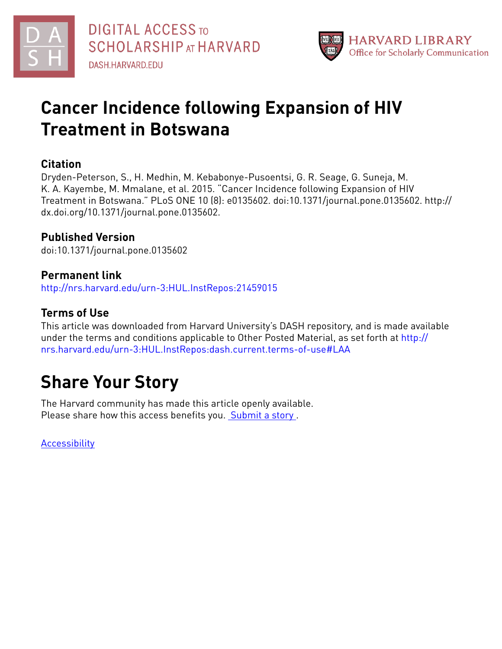



## **Cancer Incidence following Expansion of HIV Treatment in Botswana**

### **Citation**

Dryden-Peterson, S., H. Medhin, M. Kebabonye-Pusoentsi, G. R. Seage, G. Suneja, M. K. A. Kayembe, M. Mmalane, et al. 2015. "Cancer Incidence following Expansion of HIV Treatment in Botswana." PLoS ONE 10 (8): e0135602. doi:10.1371/journal.pone.0135602. http:// dx.doi.org/10.1371/journal.pone.0135602.

## **Published Version**

doi:10.1371/journal.pone.0135602

#### **Permanent link** <http://nrs.harvard.edu/urn-3:HUL.InstRepos:21459015>

### **Terms of Use**

This article was downloaded from Harvard University's DASH repository, and is made available under the terms and conditions applicable to Other Posted Material, as set forth at [http://](http://nrs.harvard.edu/urn-3:HUL.InstRepos:dash.current.terms-of-use#LAA) [nrs.harvard.edu/urn-3:HUL.InstRepos:dash.current.terms-of-use#LAA](http://nrs.harvard.edu/urn-3:HUL.InstRepos:dash.current.terms-of-use#LAA)

# **Share Your Story**

The Harvard community has made this article openly available. Please share how this access benefits you. [Submit](http://osc.hul.harvard.edu/dash/open-access-feedback?handle=&title=Cancer%20Incidence%20following%20Expansion%20of%20HIV%20Treatment%20in%20Botswana&community=1/4454685&collection=1/4454686&owningCollection1/4454686&harvardAuthors=6bb8bbd5e3f568ab193de7e366fc413b&department) a story .

[Accessibility](https://dash.harvard.edu/pages/accessibility)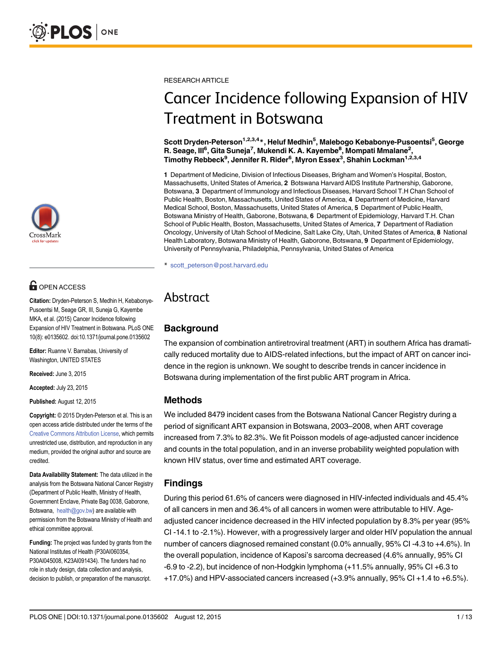

## **OPEN ACCESS**

Citation: Dryden-Peterson S, Medhin H, Kebabonye-Pusoentsi M, Seage GR, III, Suneja G, Kayembe MKA, et al. (2015) Cancer Incidence following Expansion of HIV Treatment in Botswana. PLoS ONE 10(8): e0135602. doi:10.1371/journal.pone.0135602

Editor: Ruanne V. Barnabas, University of Washington, UNITED STATES

Received: June 3, 2015

Accepted: July 23, 2015

Published: August 12, 2015

Copyright: © 2015 Dryden-Peterson et al. This is an open access article distributed under the terms of the [Creative Commons Attribution License,](http://creativecommons.org/licenses/by/4.0/) which permits unrestricted use, distribution, and reproduction in any medium, provided the original author and source are credited.

Data Availability Statement: The data utilized in the analysis from the Botswana National Cancer Registry (Department of Public Health, Ministry of Health, Government Enclave, Private Bag 0038, Gaborone, Botswana, health@gov.bw) are available with permission from the Botswana Ministry of Health and ethical committee approval.

Funding: The project was funded by grants from the National Institutes of Health (P30AI060354, P30AI045008, K23AI091434). The funders had no role in study design, data collection and analysis, decision to publish, or preparation of the manuscript.

RESEARCH ARTICLE

## Cancer Incidence following Expansion of HIV Treatment in Botswana

Scott Dryden-Peterson<sup>1,2,3,4</sup>\*, Heluf Medhin<sup>5</sup>, Malebogo Kebabonye-Pusoentsi<sup>5</sup>, George R. Seage, III<sup>6</sup>, Gita Suneja<sup>7</sup>, Mukendi K. A. Kayembe<sup>8</sup>, Mompati Mmalane<sup>2</sup>, Timothy Rebbeck<sup>9</sup>, Jennifer R. Rider<sup>6</sup>, Myron Essex<sup>3</sup>, Shahin Lockman<sup>1,2,3,4</sup>

1 Department of Medicine, Division of Infectious Diseases, Brigham and Women's Hospital, Boston, Massachusetts, United States of America, 2 Botswana Harvard AIDS Institute Partnership, Gaborone, Botswana, 3 Department of Immunology and Infectious Diseases, Harvard School T.H Chan School of Public Health, Boston, Massachusetts, United States of America, 4 Department of Medicine, Harvard Medical School, Boston, Massachusetts, United States of America, 5 Department of Public Health, Botswana Ministry of Health, Gaborone, Botswana, 6 Department of Epidemiology, Harvard T.H. Chan School of Public Health, Boston, Massachusetts, United States of America, 7 Department of Radiation Oncology, University of Utah School of Medicine, Salt Lake City, Utah, United States of America, 8 National Health Laboratory, Botswana Ministry of Health, Gaborone, Botswana, 9 Department of Epidemiology, University of Pennsylvania, Philadelphia, Pennsylvania, United States of America

\* scott\_peterson@post.harvard.edu

## Abstract

### **Background**

The expansion of combination antiretroviral treatment (ART) in southern Africa has dramatically reduced mortality due to AIDS-related infections, but the impact of ART on cancer incidence in the region is unknown. We sought to describe trends in cancer incidence in Botswana during implementation of the first public ART program in Africa.

#### Methods

We included 8479 incident cases from the Botswana National Cancer Registry during a period of significant ART expansion in Botswana, 2003–2008, when ART coverage increased from 7.3% to 82.3%. We fit Poisson models of age-adjusted cancer incidence and counts in the total population, and in an inverse probability weighted population with known HIV status, over time and estimated ART coverage.

#### Findings

During this period 61.6% of cancers were diagnosed in HIV-infected individuals and 45.4% of all cancers in men and 36.4% of all cancers in women were attributable to HIV. Ageadjusted cancer incidence decreased in the HIV infected population by 8.3% per year (95% CI -14.1 to -2.1%). However, with a progressively larger and older HIV population the annual number of cancers diagnosed remained constant (0.0% annually, 95% CI -4.3 to +4.6%). In the overall population, incidence of Kaposi's sarcoma decreased (4.6% annually, 95% CI -6.9 to -2.2), but incidence of non-Hodgkin lymphoma (+11.5% annually, 95% CI +6.3 to +17.0%) and HPV-associated cancers increased (+3.9% annually, 95% CI +1.4 to +6.5%).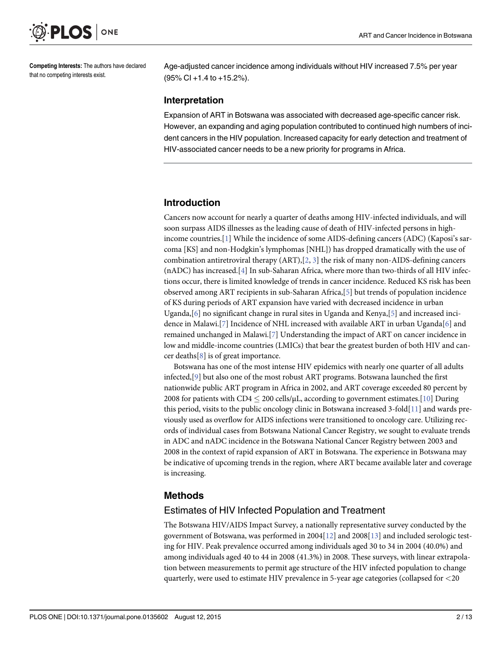<span id="page-2-0"></span>

Competing Interests: The authors have declared that no competing interests exist.

Age-adjusted cancer incidence among individuals without HIV increased 7.5% per year (95% CI +1.4 to +15.2%).

#### Interpretation

Expansion of ART in Botswana was associated with decreased age-specific cancer risk. However, an expanding and aging population contributed to continued high numbers of incident cancers in the HIV population. Increased capacity for early detection and treatment of HIV-associated cancer needs to be a new priority for programs in Africa.

#### Introduction

Cancers now account for nearly a quarter of deaths among HIV-infected individuals, and will soon surpass AIDS illnesses as the leading cause of death of HIV-infected persons in highincome countries.[\[1](#page-11-0)] While the incidence of some AIDS-defining cancers (ADC) (Kaposi's sarcoma [KS] and non-Hodgkin's lymphomas [NHL]) has dropped dramatically with the use of combination antiretroviral therapy  $(ART), [2, 3]$  $(ART), [2, 3]$  $(ART), [2, 3]$  $(ART), [2, 3]$  $(ART), [2, 3]$  the risk of many non-AIDS-defining cancers (nADC) has increased.[[4\]](#page-11-0) In sub-Saharan Africa, where more than two-thirds of all HIV infections occur, there is limited knowledge of trends in cancer incidence. Reduced KS risk has been observed among ART recipients in sub-Saharan Africa,[[5\]](#page-12-0) but trends of population incidence of KS during periods of ART expansion have varied with decreased incidence in urban Uganda,[[6\]](#page-12-0) no significant change in rural sites in Uganda and Kenya,[[5](#page-12-0)] and increased inci-dence in Malawi.[[7\]](#page-12-0) Incidence of NHL increased with available ART in urban Uganda[\[6\]](#page-12-0) and remained unchanged in Malawi.[\[7](#page-12-0)] Understanding the impact of ART on cancer incidence in low and middle-income countries (LMICs) that bear the greatest burden of both HIV and cancer deaths $[8]$  $[8]$  is of great importance.

Botswana has one of the most intense HIV epidemics with nearly one quarter of all adults infected,[\[9](#page-12-0)] but also one of the most robust ART programs. Botswana launched the first nationwide public ART program in Africa in 2002, and ART coverage exceeded 80 percent by 2008 for patients with CD4  $\leq$  200 cells/ $\mu$ L, according to government estimates.[[10](#page-12-0)] During this period, visits to the public oncology clinic in Botswana increased 3-fold $[11]$  and wards previously used as overflow for AIDS infections were transitioned to oncology care. Utilizing records of individual cases from Botswana National Cancer Registry, we sought to evaluate trends in ADC and nADC incidence in the Botswana National Cancer Registry between 2003 and 2008 in the context of rapid expansion of ART in Botswana. The experience in Botswana may be indicative of upcoming trends in the region, where ART became available later and coverage is increasing.

#### Methods

#### Estimates of HIV Infected Population and Treatment

The Botswana HIV/AIDS Impact Survey, a nationally representative survey conducted by the government of Botswana, was performed in 2004[\[12\]](#page-12-0) and 2008[\[13\]](#page-12-0) and included serologic testing for HIV. Peak prevalence occurred among individuals aged 30 to 34 in 2004 (40.0%) and among individuals aged 40 to 44 in 2008 (41.3%) in 2008. These surveys, with linear extrapolation between measurements to permit age structure of the HIV infected population to change quarterly, were used to estimate HIV prevalence in 5-year age categories (collapsed for <20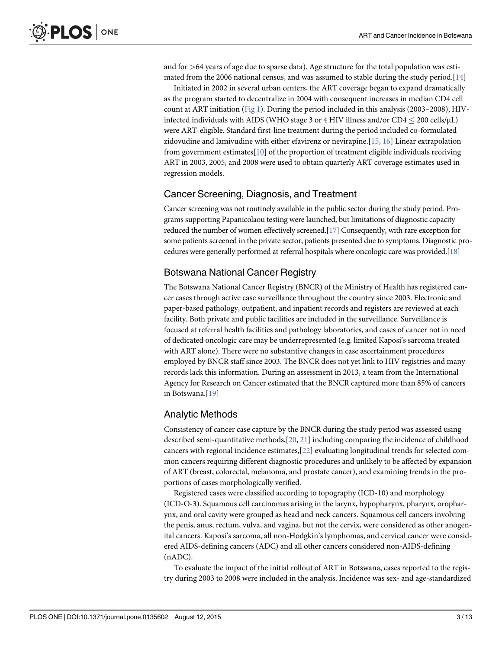<span id="page-3-0"></span>and for  $>64$  years of age due to sparse data). Age structure for the total population was estimated from the 2006 national census, and was assumed to stable during the study period. $[14]$  $[14]$  $[14]$ 

Initiated in 2002 in several urban centers, the ART coverage began to expand dramatically as the program started to decentralize in 2004 with consequent increases in median CD4 cell count at ART initiation [\(Fig 1\)](#page-4-0). During the period included in this analysis (2003–2008), HIVinfected individuals with AIDS (WHO stage 3 or 4 HIV illness and/or  $CD4 \le 200$  cells/ $\mu$ L) were ART-eligible. Standard first-line treatment during the period included co-formulated zidovudine and lamivudine with either efavirenz or nevirapine.[[15](#page-12-0), [16](#page-12-0)] Linear extrapolation from government estimates $[10]$  $[10]$  $[10]$  of the proportion of treatment eligible individuals receiving ART in 2003, 2005, and 2008 were used to obtain quarterly ART coverage estimates used in regression models.

#### Cancer Screening, Diagnosis, and Treatment

Cancer screening was not routinely available in the public sector during the study period. Programs supporting Papanicolaou testing were launched, but limitations of diagnostic capacity reduced the number of women effectively screened.[\[17\]](#page-12-0) Consequently, with rare exception for some patients screened in the private sector, patients presented due to symptoms. Diagnostic procedures were generally performed at referral hospitals where oncologic care was provided.[[18](#page-12-0)]

#### Botswana National Cancer Registry

The Botswana National Cancer Registry (BNCR) of the Ministry of Health has registered cancer cases through active case surveillance throughout the country since 2003. Electronic and paper-based pathology, outpatient, and inpatient records and registers are reviewed at each facility. Both private and public facilities are included in the surveillance. Surveillance is focused at referral health facilities and pathology laboratories, and cases of cancer not in need of dedicated oncologic care may be underrepresented (e.g. limited Kaposi's sarcoma treated with ART alone). There were no substantive changes in case ascertainment procedures employed by BNCR staff since 2003. The BNCR does not yet link to HIV registries and many records lack this information. During an assessment in 2013, a team from the International Agency for Research on Cancer estimated that the BNCR captured more than 85% of cancers in Botswana.[\[19\]](#page-12-0)

#### Analytic Methods

Consistency of cancer case capture by the BNCR during the study period was assessed using described semi-quantitative methods,[[20,](#page-12-0) [21\]](#page-12-0) including comparing the incidence of childhood cancers with regional incidence estimates,[[22](#page-12-0)] evaluating longitudinal trends for selected common cancers requiring different diagnostic procedures and unlikely to be affected by expansion of ART (breast, colorectal, melanoma, and prostate cancer), and examining trends in the proportions of cases morphologically verified.

Registered cases were classified according to topography (ICD-10) and morphology (ICD-O-3). Squamous cell carcinomas arising in the larynx, hypopharynx, pharynx, oropharynx, and oral cavity were grouped as head and neck cancers. Squamous cell cancers involving the penis, anus, rectum, vulva, and vagina, but not the cervix, were considered as other anogenital cancers. Kaposi's sarcoma, all non-Hodgkin's lymphomas, and cervical cancer were considered AIDS-defining cancers (ADC) and all other cancers considered non-AIDS-defining (nADC).

To evaluate the impact of the initial rollout of ART in Botswana, cases reported to the registry during 2003 to 2008 were included in the analysis. Incidence was sex- and age-standardized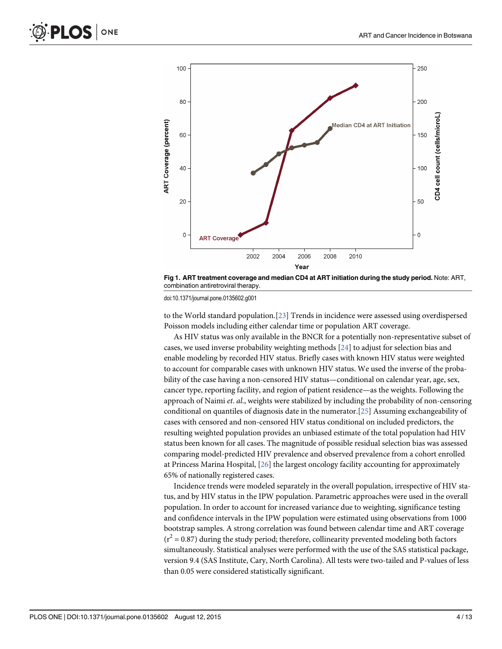<span id="page-4-0"></span>

[Fig 1. A](#page-3-0)RT treatment coverage and median CD4 at ART initiation during the study period. Note: ART, combination antiretroviral therapy.

doi:10.1371/journal.pone.0135602.g001

to the World standard population.[[23](#page-12-0)] Trends in incidence were assessed using overdispersed Poisson models including either calendar time or population ART coverage.

As HIV status was only available in the BNCR for a potentially non-representative subset of cases, we used inverse probability weighting methods [[24](#page-12-0)] to adjust for selection bias and enable modeling by recorded HIV status. Briefly cases with known HIV status were weighted to account for comparable cases with unknown HIV status. We used the inverse of the probability of the case having a non-censored HIV status—conditional on calendar year, age, sex, cancer type, reporting facility, and region of patient residence—as the weights. Following the approach of Naimi et. al., weights were stabilized by including the probability of non-censoring conditional on quantiles of diagnosis date in the numerator.[\[25\]](#page-12-0) Assuming exchangeability of cases with censored and non-censored HIV status conditional on included predictors, the resulting weighted population provides an unbiased estimate of the total population had HIV status been known for all cases. The magnitude of possible residual selection bias was assessed comparing model-predicted HIV prevalence and observed prevalence from a cohort enrolled at Princess Marina Hospital, [\[26\]](#page-12-0) the largest oncology facility accounting for approximately 65% of nationally registered cases.

Incidence trends were modeled separately in the overall population, irrespective of HIV status, and by HIV status in the IPW population. Parametric approaches were used in the overall population. In order to account for increased variance due to weighting, significance testing and confidence intervals in the IPW population were estimated using observations from 1000 bootstrap samples. A strong correlation was found between calendar time and ART coverage  $(r^2 = 0.87)$  during the study period; therefore, collinearity prevented modeling both factors simultaneously. Statistical analyses were performed with the use of the SAS statistical package, version 9.4 (SAS Institute, Cary, North Carolina). All tests were two-tailed and P-values of less than 0.05 were considered statistically significant.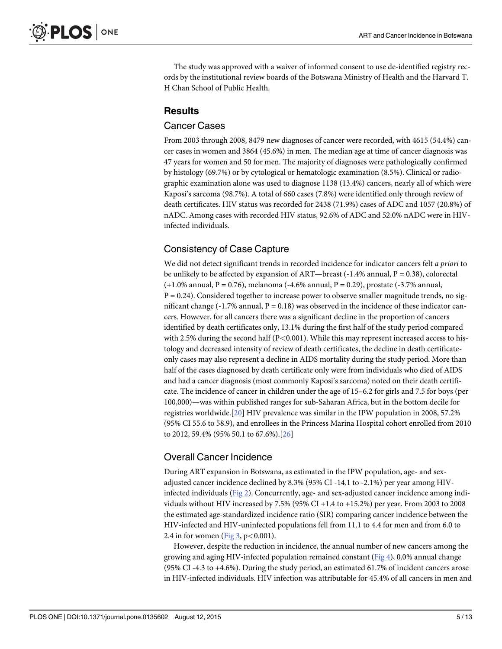<span id="page-5-0"></span>The study was approved with a waiver of informed consent to use de-identified registry records by the institutional review boards of the Botswana Ministry of Health and the Harvard T. H Chan School of Public Health.

#### **Results**

#### Cancer Cases

From 2003 through 2008, 8479 new diagnoses of cancer were recorded, with 4615 (54.4%) cancer cases in women and 3864 (45.6%) in men. The median age at time of cancer diagnosis was 47 years for women and 50 for men. The majority of diagnoses were pathologically confirmed by histology (69.7%) or by cytological or hematologic examination (8.5%). Clinical or radiographic examination alone was used to diagnose 1138 (13.4%) cancers, nearly all of which were Kaposi's sarcoma (98.7%). A total of 660 cases (7.8%) were identified only through review of death certificates. HIV status was recorded for 2438 (71.9%) cases of ADC and 1057 (20.8%) of nADC. Among cases with recorded HIV status, 92.6% of ADC and 52.0% nADC were in HIVinfected individuals.

#### Consistency of Case Capture

We did not detect significant trends in recorded incidence for indicator cancers felt a priori to be unlikely to be affected by expansion of ART—breast (-1.4% annual,  $P = 0.38$ ), colorectal  $(+1.0\%$  annual, P = 0.76), melanoma  $(-4.6\%$  annual, P = 0.29), prostate  $(-3.7\%$  annual,  $P = 0.24$ ). Considered together to increase power to observe smaller magnitude trends, no significant change (-1.7% annual,  $P = 0.18$ ) was observed in the incidence of these indicator cancers. However, for all cancers there was a significant decline in the proportion of cancers identified by death certificates only, 13.1% during the first half of the study period compared with 2.5% during the second half  $(P<0.001)$ . While this may represent increased access to histology and decreased intensity of review of death certificates, the decline in death certificateonly cases may also represent a decline in AIDS mortality during the study period. More than half of the cases diagnosed by death certificate only were from individuals who died of AIDS and had a cancer diagnosis (most commonly Kaposi's sarcoma) noted on their death certificate. The incidence of cancer in children under the age of 15–6.2 for girls and 7.5 for boys (per 100,000)—was within published ranges for sub-Saharan Africa, but in the bottom decile for registries worldwide.[[20](#page-12-0)] HIV prevalence was similar in the IPW population in 2008, 57.2% (95% CI 55.6 to 58.9), and enrollees in the Princess Marina Hospital cohort enrolled from 2010 to 2012, 59.4% (95% 50.1 to 67.6%).[\[26\]](#page-12-0)

#### Overall Cancer Incidence

During ART expansion in Botswana, as estimated in the IPW population, age- and sexadjusted cancer incidence declined by 8.3% (95% CI -14.1 to -2.1%) per year among HIV-infected individuals ([Fig 2\)](#page-6-0). Concurrently, age- and sex-adjusted cancer incidence among individuals without HIV increased by 7.5% (95% CI +1.4 to +15.2%) per year. From 2003 to 2008 the estimated age-standardized incidence ratio (SIR) comparing cancer incidence between the HIV-infected and HIV-uninfected populations fell from 11.1 to 4.4 for men and from 6.0 to 2.4 in for women [\(Fig 3,](#page-6-0)  $p < 0.001$ ).

However, despite the reduction in incidence, the annual number of new cancers among the growing and aging HIV-infected population remained constant ([Fig 4](#page-7-0)), 0.0% annual change (95% CI -4.3 to +4.6%). During the study period, an estimated 61.7% of incident cancers arose in HIV-infected individuals. HIV infection was attributable for 45.4% of all cancers in men and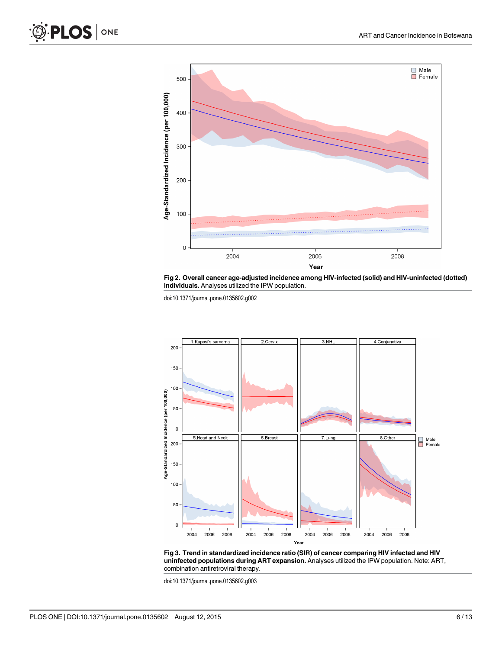<span id="page-6-0"></span>



doi:10.1371/journal.pone.0135602.g002





doi:10.1371/journal.pone.0135602.g003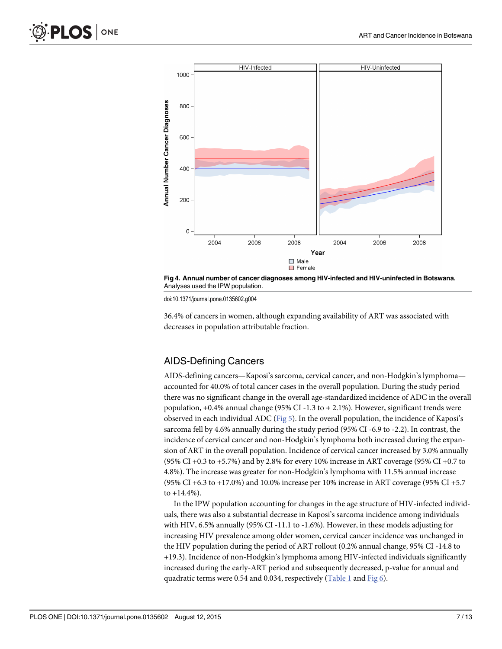<span id="page-7-0"></span>

[Fig 4. A](#page-5-0)nnual number of cancer diagnoses among HIV-infected and HIV-uninfected in Botswana. Analyses used the IPW population.

doi:10.1371/journal.pone.0135602.g004

36.4% of cancers in women, although expanding availability of ART was associated with decreases in population attributable fraction.

#### AIDS-Defining Cancers

AIDS-defining cancers—Kaposi's sarcoma, cervical cancer, and non-Hodgkin's lymphoma accounted for 40.0% of total cancer cases in the overall population. During the study period there was no significant change in the overall age-standardized incidence of ADC in the overall population,  $+0.4\%$  annual change (95% CI -1.3 to  $+2.1\%$ ). However, significant trends were observed in each individual ADC [\(Fig 5](#page-8-0)). In the overall population, the incidence of Kaposi's sarcoma fell by 4.6% annually during the study period (95% CI -6.9 to -2.2). In contrast, the incidence of cervical cancer and non-Hodgkin's lymphoma both increased during the expansion of ART in the overall population. Incidence of cervical cancer increased by 3.0% annually (95% CI +0.3 to +5.7%) and by 2.8% for every 10% increase in ART coverage (95% CI +0.7 to 4.8%). The increase was greater for non-Hodgkin's lymphoma with 11.5% annual increase (95% CI +6.3 to +17.0%) and 10.0% increase per 10% increase in ART coverage (95% CI +5.7 to  $+14.4%$ ).

In the IPW population accounting for changes in the age structure of HIV-infected individuals, there was also a substantial decrease in Kaposi's sarcoma incidence among individuals with HIV, 6.5% annually (95% CI -11.1 to -1.6%). However, in these models adjusting for increasing HIV prevalence among older women, cervical cancer incidence was unchanged in the HIV population during the period of ART rollout (0.2% annual change, 95% CI -14.8 to +19.3). Incidence of non-Hodgkin's lymphoma among HIV-infected individuals significantly increased during the early-ART period and subsequently decreased, p-value for annual and quadratic terms were 0.54 and 0.034, respectively ( $Table 1$  and  $Fig 6$ ).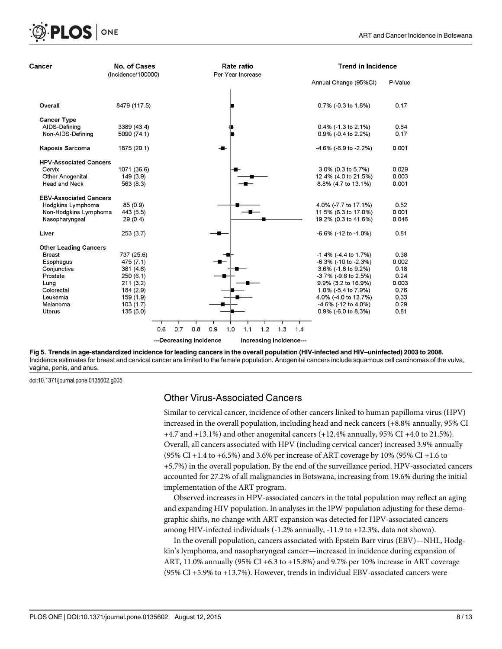

[Fig 5. T](#page-7-0)rends in age-standardized incidence for leading cancers in the overall population (HIV-infected and HIV–uninfected) 2003 to 2008. Incidence estimates for breast and cervical cancer are limited to the female population. Anogenital cancers include squamous cell carcinomas of the vulva, vagina, penis, and anus.

doi:10.1371/journal.pone.0135602.g005

<span id="page-8-0"></span>**PLOS I** 

ONE

#### Other Virus-Associated Cancers

Similar to cervical cancer, incidence of other cancers linked to human papilloma virus (HPV) increased in the overall population, including head and neck cancers (+8.8% annually, 95% CI +4.7 and +13.1%) and other anogenital cancers (+12.4% annually, 95% CI +4.0 to 21.5%). Overall, all cancers associated with HPV (including cervical cancer) increased 3.9% annually (95% CI +1.4 to +6.5%) and 3.6% per increase of ART coverage by 10% (95% CI +1.6 to +5.7%) in the overall population. By the end of the surveillance period, HPV-associated cancers accounted for 27.2% of all malignancies in Botswana, increasing from 19.6% during the initial implementation of the ART program.

Observed increases in HPV-associated cancers in the total population may reflect an aging and expanding HIV population. In analyses in the IPW population adjusting for these demographic shifts, no change with ART expansion was detected for HPV-associated cancers among HIV-infected individuals (-1.2% annually, -11.9 to +12.3%, data not shown).

In the overall population, cancers associated with Epstein Barr virus (EBV)—NHL, Hodgkin's lymphoma, and nasopharyngeal cancer—increased in incidence during expansion of ART, 11.0% annually (95% CI +6.3 to +15.8%) and 9.7% per 10% increase in ART coverage (95% CI +5.9% to +13.7%). However, trends in individual EBV-associated cancers were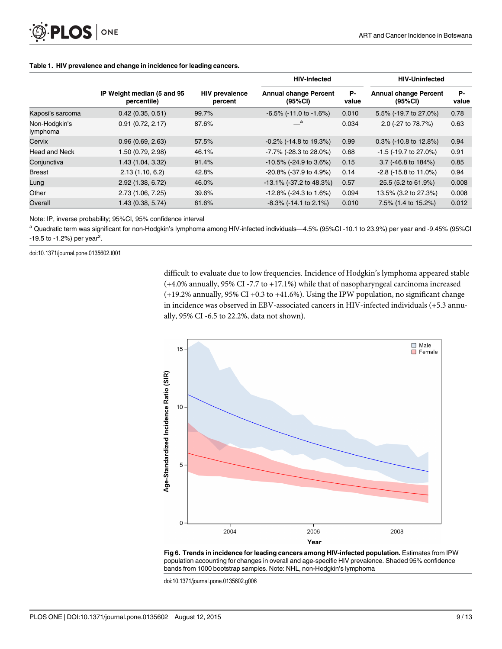<span id="page-9-0"></span>

|                           | IP Weight median (5 and 95<br>percentile) | <b>HIV prevalence</b><br>percent | <b>HIV-Infected</b>                     |             | <b>HIV-Uninfected</b>                   |             |
|---------------------------|-------------------------------------------|----------------------------------|-----------------------------------------|-------------|-----------------------------------------|-------------|
|                           |                                           |                                  | <b>Annual change Percent</b><br>(95%CI) | Р-<br>value | <b>Annual change Percent</b><br>(95%CI) | Р-<br>value |
| Kaposi's sarcoma          | 0.42(0.35, 0.51)                          | 99.7%                            | $-6.5\%$ ( $-11.0$ to $-1.6\%$ )        | 0.010       | 5.5% (-19.7 to 27.0%)                   | 0.78        |
| Non-Hodgkin's<br>lymphoma | 0.91(0.72, 2.17)                          | 87.6%                            | $-{}^a$                                 | 0.034       | 2.0 (-27 to 78.7%)                      | 0.63        |
| Cervix                    | 0.96(0.69, 2.63)                          | 57.5%                            | $-0.2\%$ ( $-14.8$ to 19.3%)            | 0.99        | $0.3\%$ (-10.8 to 12.8%)                | 0.94        |
| Head and Neck             | 1.50 (0.79, 2.98)                         | 46.1%                            | -7.7% (-28.3 to 28.0%)                  | 0.68        | $-1.5$ ( $-19.7$ to 27.0%)              | 0.91        |
| Conjunctiva               | 1.43 (1.04, 3.32)                         | 91.4%                            | $-10.5\%$ (-24.9 to 3.6%)               | 0.15        | 3.7 ( $-46.8$ to $184\%$ )              | 0.85        |
| <b>Breast</b>             | 2.13(1.10, 6.2)                           | 42.8%                            | -20.8% (-37.9 to 4.9%)                  | 0.14        | $-2.8$ ( $-15.8$ to 11.0%)              | 0.94        |
| Lung                      | 2.92 (1.38, 6.72)                         | 46.0%                            | $-13.1\%$ (-37.2 to 48.3%)              | 0.57        | 25.5 (5.2 to 61.9%)                     | 0.008       |
| Other                     | 2.73 (1.06, 7.25)                         | 39.6%                            | $-12.8\%$ (-24.3 to 1.6%)               | 0.094       | 13.5% (3.2 to 27.3%)                    | 0.008       |
| Overall                   | 1.43 (0.38, 5.74)                         | 61.6%                            | $-8.3\%$ ( $-14.1$ to 2.1%)             | 0.010       | 7.5% (1.4 to 15.2%)                     | 0.012       |

#### [Table 1.](#page-7-0) HIV prevalence and change in incidence for leading cancers.

Note: IP, inverse probability; 95%CI, 95% confidence interval

<sup>a</sup> Quadratic term was significant for non-Hodgkin's lymphoma among HIV-infected individuals—4.5% (95%CI -10.1 to 23.9%) per year and -9.45% (95%CI  $-19.5$  to  $-1.2%$ ) per year<sup>2</sup>.

doi:10.1371/journal.pone.0135602.t001

difficult to evaluate due to low frequencies. Incidence of Hodgkin's lymphoma appeared stable (+4.0% annually, 95% CI -7.7 to +17.1%) while that of nasopharyngeal carcinoma increased (+19.2% annually, 95% CI +0.3 to +41.6%). Using the IPW population, no significant change in incidence was observed in EBV-associated cancers in HIV-infected individuals (+5.3 annually, 95% CI -6.5 to 22.2%, data not shown).



[Fig 6. T](#page-7-0)rends in incidence for leading cancers among HIV-infected population. Estimates from IPW population accounting for changes in overall and age-specific HIV prevalence. Shaded 95% confidence bands from 1000 bootstrap samples. Note: NHL, non-Hodgkin's lymphoma

doi:10.1371/journal.pone.0135602.g006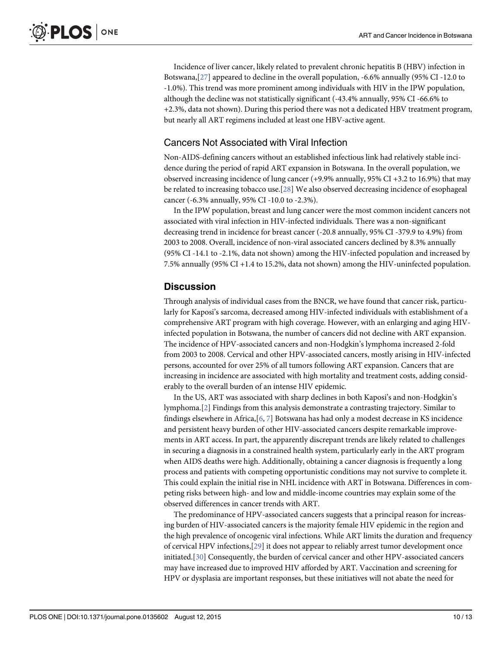<span id="page-10-0"></span>Incidence of liver cancer, likely related to prevalent chronic hepatitis B (HBV) infection in Botswana,[\[27\]](#page-12-0) appeared to decline in the overall population, -6.6% annually (95% CI -12.0 to -1.0%). This trend was more prominent among individuals with HIV in the IPW population, although the decline was not statistically significant (-43.4% annually, 95% CI -66.6% to +2.3%, data not shown). During this period there was not a dedicated HBV treatment program, but nearly all ART regimens included at least one HBV-active agent.

#### Cancers Not Associated with Viral Infection

Non-AIDS-defining cancers without an established infectious link had relatively stable incidence during the period of rapid ART expansion in Botswana. In the overall population, we observed increasing incidence of lung cancer (+9.9% annually, 95% CI +3.2 to 16.9%) that may be related to increasing tobacco use.[\[28](#page-12-0)] We also observed decreasing incidence of esophageal cancer (-6.3% annually, 95% CI -10.0 to -2.3%).

In the IPW population, breast and lung cancer were the most common incident cancers not associated with viral infection in HIV-infected individuals. There was a non-significant decreasing trend in incidence for breast cancer (-20.8 annually, 95% CI -379.9 to 4.9%) from 2003 to 2008. Overall, incidence of non-viral associated cancers declined by 8.3% annually (95% CI -14.1 to -2.1%, data not shown) among the HIV-infected population and increased by 7.5% annually (95% CI +1.4 to 15.2%, data not shown) among the HIV-uninfected population.

#### **Discussion**

Through analysis of individual cases from the BNCR, we have found that cancer risk, particularly for Kaposi's sarcoma, decreased among HIV-infected individuals with establishment of a comprehensive ART program with high coverage. However, with an enlarging and aging HIVinfected population in Botswana, the number of cancers did not decline with ART expansion. The incidence of HPV-associated cancers and non-Hodgkin's lymphoma increased 2-fold from 2003 to 2008. Cervical and other HPV-associated cancers, mostly arising in HIV-infected persons, accounted for over 25% of all tumors following ART expansion. Cancers that are increasing in incidence are associated with high mortality and treatment costs, adding considerably to the overall burden of an intense HIV epidemic.

In the US, ART was associated with sharp declines in both Kaposi's and non-Hodgkin's lymphoma.[[2\]](#page-11-0) Findings from this analysis demonstrate a contrasting trajectory. Similar to findings elsewhere in Africa,[[6,](#page-12-0) [7\]](#page-12-0) Botswana has had only a modest decrease in KS incidence and persistent heavy burden of other HIV-associated cancers despite remarkable improvements in ART access. In part, the apparently discrepant trends are likely related to challenges in securing a diagnosis in a constrained health system, particularly early in the ART program when AIDS deaths were high. Additionally, obtaining a cancer diagnosis is frequently a long process and patients with competing opportunistic conditions may not survive to complete it. This could explain the initial rise in NHL incidence with ART in Botswana. Differences in competing risks between high- and low and middle-income countries may explain some of the observed differences in cancer trends with ART.

The predominance of HPV-associated cancers suggests that a principal reason for increasing burden of HIV-associated cancers is the majority female HIV epidemic in the region and the high prevalence of oncogenic viral infections. While ART limits the duration and frequency of cervical HPV infections,[[29](#page-13-0)] it does not appear to reliably arrest tumor development once initiated.[[30](#page-13-0)] Consequently, the burden of cervical cancer and other HPV-associated cancers may have increased due to improved HIV afforded by ART. Vaccination and screening for HPV or dysplasia are important responses, but these initiatives will not abate the need for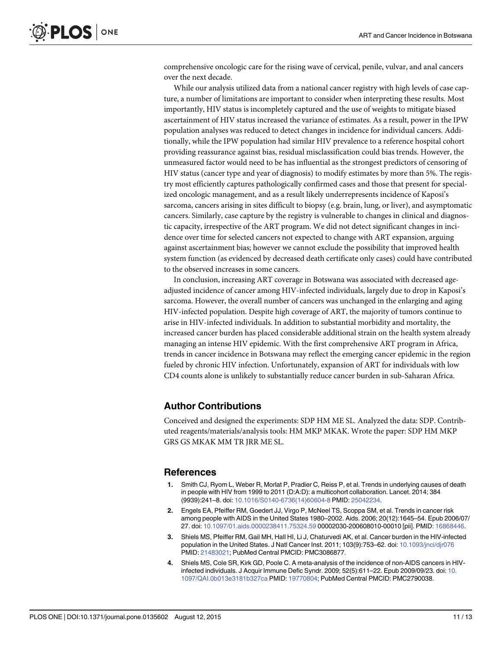<span id="page-11-0"></span>comprehensive oncologic care for the rising wave of cervical, penile, vulvar, and anal cancers over the next decade.

While our analysis utilized data from a national cancer registry with high levels of case capture, a number of limitations are important to consider when interpreting these results. Most importantly, HIV status is incompletely captured and the use of weights to mitigate biased ascertainment of HIV status increased the variance of estimates. As a result, power in the IPW population analyses was reduced to detect changes in incidence for individual cancers. Additionally, while the IPW population had similar HIV prevalence to a reference hospital cohort providing reassurance against bias, residual misclassification could bias trends. However, the unmeasured factor would need to be has influential as the strongest predictors of censoring of HIV status (cancer type and year of diagnosis) to modify estimates by more than 5%. The registry most efficiently captures pathologically confirmed cases and those that present for specialized oncologic management, and as a result likely underrepresents incidence of Kaposi's sarcoma, cancers arising in sites difficult to biopsy (e.g. brain, lung, or liver), and asymptomatic cancers. Similarly, case capture by the registry is vulnerable to changes in clinical and diagnostic capacity, irrespective of the ART program. We did not detect significant changes in incidence over time for selected cancers not expected to change with ART expansion, arguing against ascertainment bias; however we cannot exclude the possibility that improved health system function (as evidenced by decreased death certificate only cases) could have contributed to the observed increases in some cancers.

In conclusion, increasing ART coverage in Botswana was associated with decreased ageadjusted incidence of cancer among HIV-infected individuals, largely due to drop in Kaposi's sarcoma. However, the overall number of cancers was unchanged in the enlarging and aging HIV-infected population. Despite high coverage of ART, the majority of tumors continue to arise in HIV-infected individuals. In addition to substantial morbidity and mortality, the increased cancer burden has placed considerable additional strain on the health system already managing an intense HIV epidemic. With the first comprehensive ART program in Africa, trends in cancer incidence in Botswana may reflect the emerging cancer epidemic in the region fueled by chronic HIV infection. Unfortunately, expansion of ART for individuals with low CD4 counts alone is unlikely to substantially reduce cancer burden in sub-Saharan Africa.

#### Author Contributions

Conceived and designed the experiments: SDP HM ME SL. Analyzed the data: SDP. Contributed reagents/materials/analysis tools: HM MKP MKAK. Wrote the paper: SDP HM MKP GRS GS MKAK MM TR JRR ME SL.

#### **References**

- Smith CJ, Ryom L, Weber R, Morlat P, Pradier C, Reiss P, et al. Trends in underlying causes of death in people with HIV from 1999 to 2011 (D:A:D): a multicohort collaboration. Lancet. 2014; 384 (9939):241–8. doi: [10.1016/S0140-6736\(14\)60604-8](http://dx.doi.org/10.1016/S0140-6736(14)60604-8) PMID: [25042234.](http://www.ncbi.nlm.nih.gov/pubmed/25042234)
- [2.](#page-2-0) Engels EA, Pfeiffer RM, Goedert JJ, Virgo P, McNeel TS, Scoppa SM, et al. Trends in cancer risk among people with AIDS in the United States 1980–2002. Aids. 2006; 20(12):1645–54. Epub 2006/07/ 27. doi: [10.1097/01.aids.0000238411.75324.59](http://dx.doi.org/10.1097/01.aids.0000238411.75324.59) 00002030-200608010-00010 [pii]. PMID: [16868446](http://www.ncbi.nlm.nih.gov/pubmed/16868446).
- [3.](#page-2-0) Shiels MS, Pfeiffer RM, Gail MH, Hall HI, Li J, Chaturvedi AK, et al. Cancer burden in the HIV-infected population in the United States. J Natl Cancer Inst. 2011; 103(9):753-62. doi: [10.1093/jnci/djr076](http://dx.doi.org/10.1093/jnci/djr076) PMID: [21483021;](http://www.ncbi.nlm.nih.gov/pubmed/21483021) PubMed Central PMCID: PMC3086877.
- [4.](#page-2-0) Shiels MS, Cole SR, Kirk GD, Poole C. A meta-analysis of the incidence of non-AIDS cancers in HIVinfected individuals. J Acquir Immune Defic Syndr. 2009; 52(5):611–22. Epub 2009/09/23. doi: [10.](http://dx.doi.org/10.1097/QAI.0b013e3181b327ca) [1097/QAI.0b013e3181b327ca](http://dx.doi.org/10.1097/QAI.0b013e3181b327ca) PMID: [19770804](http://www.ncbi.nlm.nih.gov/pubmed/19770804); PubMed Central PMCID: PMC2790038.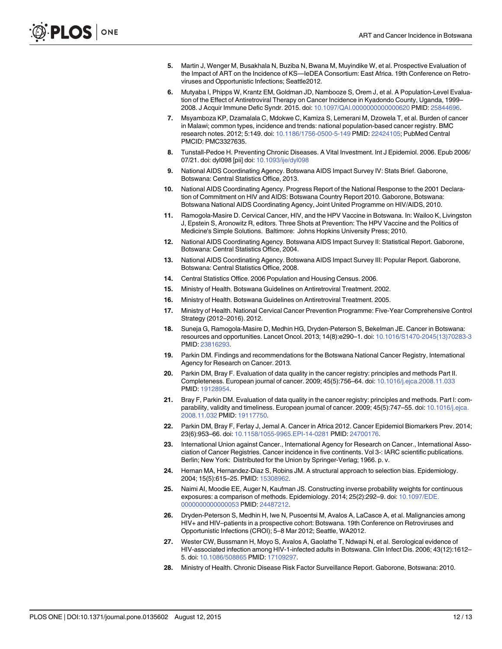- <span id="page-12-0"></span>[5.](#page-2-0) Martin J, Wenger M, Busakhala N, Buziba N, Bwana M, Muyindike W, et al. Prospective Evaluation of the Impact of ART on the Incidence of KS—IeDEA Consortium: East Africa. 19th Conference on Retroviruses and Opportunistic Infections; Seattle2012.
- [6.](#page-2-0) Mutyaba I, Phipps W, Krantz EM, Goldman JD, Nambooze S, Orem J, et al. A Population-Level Evaluation of the Effect of Antiretroviral Therapy on Cancer Incidence in Kyadondo County, Uganda, 1999– 2008. J Acquir Immune Defic Syndr. 2015. doi: [10.1097/QAI.0000000000000620](http://dx.doi.org/10.1097/QAI.0000000000000620) PMID: [25844696.](http://www.ncbi.nlm.nih.gov/pubmed/25844696)
- [7.](#page-2-0) Msyamboza KP, Dzamalala C, Mdokwe C, Kamiza S, Lemerani M, Dzowela T, et al. Burden of cancer in Malawi; common types, incidence and trends: national population-based cancer registry. BMC research notes. 2012; 5:149. doi: [10.1186/1756-0500-5-149](http://dx.doi.org/10.1186/1756-0500-5-149) PMID: [22424105](http://www.ncbi.nlm.nih.gov/pubmed/22424105); PubMed Central PMCID: PMC3327635.
- [8.](#page-2-0) Tunstall-Pedoe H. Preventing Chronic Diseases. A Vital Investment. Int J Epidemiol. 2006. Epub 2006/ 07/21. doi: dyl098 [pii] doi: [10.1093/ije/dyl098](http://dx.doi.org/10.1093/ije/dyl098)
- [9.](#page-2-0) National AIDS Coordinating Agency. Botswana AIDS Impact Survey IV: Stats Brief. Gaborone, Botswana: Central Statistics Office, 2013.
- [10.](#page-2-0) National AIDS Coordinating Agency. Progress Report of the National Response to the 2001 Declaration of Commitment on HIV and AIDS: Botswana Country Report 2010. Gaborone, Botswana: Botswana National AIDS Coordinating Agency, Joint United Programme on HIV/AIDS, 2010.
- [11.](#page-2-0) Ramogola-Masire D. Cervical Cancer, HIV, and the HPV Vaccine in Botswana. In: Wailoo K, Livingston J, Epstein S, Aronowitz R, editors. Three Shots at Prevention: The HPV Vaccine and the Politics of Medicine's Simple Solutions. Baltimore: Johns Hopkins University Press; 2010.
- [12.](#page-2-0) National AIDS Coordinating Agency. Botswana AIDS Impact Survey II: Statistical Report. Gaborone, Botswana: Central Statistics Office, 2004.
- [13.](#page-2-0) National AIDS Coordinating Agency. Botswana AIDS Impact Survey III: Popular Report. Gaborone, Botswana: Central Statistics Office, 2008.
- [14.](#page-3-0) Central Statistics Office. 2006 Population and Housing Census. 2006.
- [15.](#page-3-0) Ministry of Health. Botswana Guidelines on Antiretroviral Treatment. 2002.
- [16.](#page-3-0) Ministry of Health. Botswana Guidelines on Antiretroviral Treatment. 2005.
- [17.](#page-3-0) Ministry of Health. National Cervical Cancer Prevention Programme: Five-Year Comprehensive Control Strategy (2012–2016). 2012.
- [18.](#page-3-0) Suneja G, Ramogola-Masire D, Medhin HG, Dryden-Peterson S, Bekelman JE. Cancer in Botswana: resources and opportunities. Lancet Oncol. 2013; 14(8):e290–1. doi: [10.1016/S1470-2045\(13\)70283-3](http://dx.doi.org/10.1016/S1470-2045(13)70283-3) PMID: [23816293.](http://www.ncbi.nlm.nih.gov/pubmed/23816293)
- [19.](#page-3-0) Parkin DM. Findings and recommendations for the Botswana National Cancer Registry, International Agency for Research on Cancer. 2013.
- [20.](#page-3-0) Parkin DM, Bray F. Evaluation of data quality in the cancer registry: principles and methods Part II. Completeness. European journal of cancer. 2009; 45(5):756–64. doi: [10.1016/j.ejca.2008.11.033](http://dx.doi.org/10.1016/j.ejca.2008.11.033) PMID: [19128954.](http://www.ncbi.nlm.nih.gov/pubmed/19128954)
- [21.](#page-3-0) Bray F, Parkin DM. Evaluation of data quality in the cancer registry: principles and methods. Part I: com-parability, validity and timeliness. European journal of cancer. 2009; 45(5):747-55. doi: [10.1016/j.ejca.](http://dx.doi.org/10.1016/j.ejca.2008.11.032) [2008.11.032](http://dx.doi.org/10.1016/j.ejca.2008.11.032) PMID: [19117750.](http://www.ncbi.nlm.nih.gov/pubmed/19117750)
- [22.](#page-3-0) Parkin DM, Bray F, Ferlay J, Jemal A. Cancer in Africa 2012. Cancer Epidemiol Biomarkers Prev. 2014; 23(6):953–66. doi: [10.1158/1055-9965.EPI-14-0281](http://dx.doi.org/10.1158/1055-9965.EPI-14-0281) PMID: [24700176](http://www.ncbi.nlm.nih.gov/pubmed/24700176).
- [23.](#page-4-0) International Union against Cancer., International Agency for Research on Cancer., International Association of Cancer Registries. Cancer incidence in five continents. Vol 3-: IARC scientific publications. Berlin; New York: Distributed for the Union by Springer-Verlag; 1966. p. v.
- [24.](#page-4-0) Hernan MA, Hernandez-Diaz S, Robins JM. A structural approach to selection bias. Epidemiology. 2004; 15(5):615–25. PMID: [15308962](http://www.ncbi.nlm.nih.gov/pubmed/15308962).
- [25.](#page-4-0) Naimi AI, Moodie EE, Auger N, Kaufman JS. Constructing inverse probability weights for continuous exposures: a comparison of methods. Epidemiology. 2014; 25(2):292–9. doi: [10.1097/EDE.](http://dx.doi.org/10.1097/EDE.0000000000000053) [0000000000000053](http://dx.doi.org/10.1097/EDE.0000000000000053) PMID: [24487212](http://www.ncbi.nlm.nih.gov/pubmed/24487212).
- [26.](#page-4-0) Dryden-Peterson S, Medhin H, Iwe N, Pusoentsi M, Avalos A, LaCasce A, et al. Malignancies among HIV+ and HIV–patients in a prospective cohort: Botswana. 19th Conference on Retroviruses and Opportunistic Infections (CROI); 5–8 Mar 2012; Seattle, WA2012.
- [27.](#page-10-0) Wester CW, Bussmann H, Moyo S, Avalos A, Gaolathe T, Ndwapi N, et al. Serological evidence of HIV-associated infection among HIV-1-infected adults in Botswana. Clin Infect Dis. 2006; 43(12):1612– 5. doi: [10.1086/508865](http://dx.doi.org/10.1086/508865) PMID: [17109297.](http://www.ncbi.nlm.nih.gov/pubmed/17109297)
- [28.](#page-10-0) Ministry of Health. Chronic Disease Risk Factor Surveillance Report. Gaborone, Botswana: 2010.